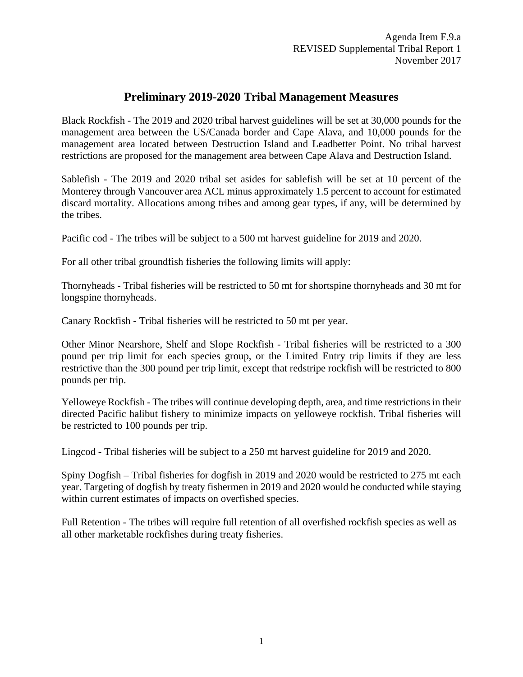## **Preliminary 2019-2020 Tribal Management Measures**

Black Rockfish - The 2019 and 2020 tribal harvest guidelines will be set at 30,000 pounds for the management area between the US/Canada border and Cape Alava, and 10,000 pounds for the management area located between Destruction Island and Leadbetter Point. No tribal harvest restrictions are proposed for the management area between Cape Alava and Destruction Island.

Sablefish - The 2019 and 2020 tribal set asides for sablefish will be set at 10 percent of the Monterey through Vancouver area ACL minus approximately 1.5 percent to account for estimated discard mortality. Allocations among tribes and among gear types, if any, will be determined by the tribes.

Pacific cod - The tribes will be subject to a 500 mt harvest guideline for 2019 and 2020.

For all other tribal groundfish fisheries the following limits will apply:

Thornyheads - Tribal fisheries will be restricted to 50 mt for shortspine thornyheads and 30 mt for longspine thornyheads.

Canary Rockfish - Tribal fisheries will be restricted to 50 mt per year.

Other Minor Nearshore, Shelf and Slope Rockfish - Tribal fisheries will be restricted to a 300 pound per trip limit for each species group, or the Limited Entry trip limits if they are less restrictive than the 300 pound per trip limit, except that redstripe rockfish will be restricted to 800 pounds per trip.

Yelloweye Rockfish - The tribes will continue developing depth, area, and time restrictions in their directed Pacific halibut fishery to minimize impacts on yelloweye rockfish. Tribal fisheries will be restricted to 100 pounds per trip.

Lingcod - Tribal fisheries will be subject to a 250 mt harvest guideline for 2019 and 2020.

Spiny Dogfish – Tribal fisheries for dogfish in 2019 and 2020 would be restricted to 275 mt each year. Targeting of dogfish by treaty fishermen in 2019 and 2020 would be conducted while staying within current estimates of impacts on overfished species.

Full Retention - The tribes will require full retention of all overfished rockfish species as well as all other marketable rockfishes during treaty fisheries.